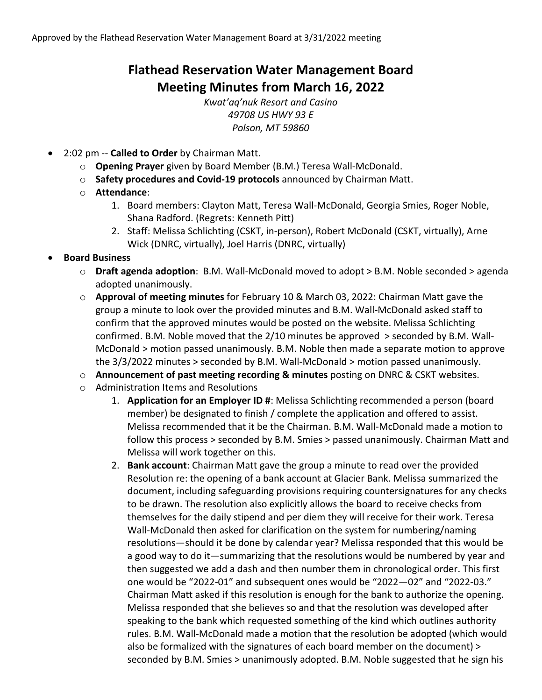# **Flathead Reservation Water Management Board Meeting Minutes from March 16, 2022**

*Kwat'aq'nuk Resort and Casino 49708 US HWY 93 E Polson, MT 59860*

- 2:02 pm -- **Called to Order** by Chairman Matt.
	- o **Opening Prayer** given by Board Member (B.M.) Teresa Wall-McDonald.
	- o **Safety procedures and Covid-19 protocols** announced by Chairman Matt.
	- o **Attendance**:
		- 1. Board members: Clayton Matt, Teresa Wall-McDonald, Georgia Smies, Roger Noble, Shana Radford. (Regrets: Kenneth Pitt)
		- 2. Staff: Melissa Schlichting (CSKT, in-person), Robert McDonald (CSKT, virtually), Arne Wick (DNRC, virtually), Joel Harris (DNRC, virtually)

## • **Board Business**

- o **Draft agenda adoption**: B.M. Wall-McDonald moved to adopt > B.M. Noble seconded > agenda adopted unanimously.
- o **Approval of meeting minutes** for February 10 & March 03, 2022: Chairman Matt gave the group a minute to look over the provided minutes and B.M. Wall-McDonald asked staff to confirm that the approved minutes would be posted on the website. Melissa Schlichting confirmed. B.M. Noble moved that the 2/10 minutes be approved > seconded by B.M. Wall-McDonald > motion passed unanimously. B.M. Noble then made a separate motion to approve the 3/3/2022 minutes > seconded by B.M. Wall-McDonald > motion passed unanimously.
- o **Announcement of past meeting recording & minutes** posting on DNRC & CSKT websites.
- o Administration Items and Resolutions
	- 1. **Application for an Employer ID #**: Melissa Schlichting recommended a person (board member) be designated to finish / complete the application and offered to assist. Melissa recommended that it be the Chairman. B.M. Wall-McDonald made a motion to follow this process > seconded by B.M. Smies > passed unanimously. Chairman Matt and Melissa will work together on this.
	- 2. **Bank account**: Chairman Matt gave the group a minute to read over the provided Resolution re: the opening of a bank account at Glacier Bank. Melissa summarized the document, including safeguarding provisions requiring countersignatures for any checks to be drawn. The resolution also explicitly allows the board to receive checks from themselves for the daily stipend and per diem they will receive for their work. Teresa Wall-McDonald then asked for clarification on the system for numbering/naming resolutions—should it be done by calendar year? Melissa responded that this would be a good way to do it—summarizing that the resolutions would be numbered by year and then suggested we add a dash and then number them in chronological order. This first one would be "2022-01" and subsequent ones would be "2022—02" and "2022-03." Chairman Matt asked if this resolution is enough for the bank to authorize the opening. Melissa responded that she believes so and that the resolution was developed after speaking to the bank which requested something of the kind which outlines authority rules. B.M. Wall-McDonald made a motion that the resolution be adopted (which would also be formalized with the signatures of each board member on the document) > seconded by B.M. Smies > unanimously adopted. B.M. Noble suggested that he sign his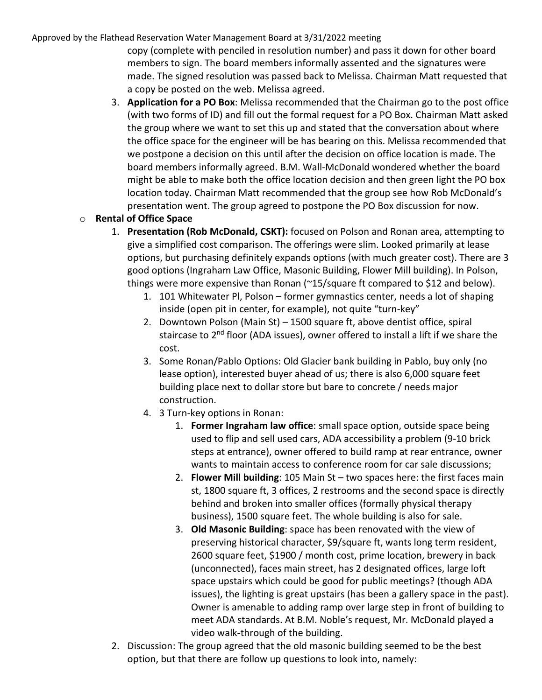#### Approved by the Flathead Reservation Water Management Board at 3/31/2022 meeting

copy (complete with penciled in resolution number) and pass it down for other board members to sign. The board members informally assented and the signatures were made. The signed resolution was passed back to Melissa. Chairman Matt requested that a copy be posted on the web. Melissa agreed.

3. **Application for a PO Box**: Melissa recommended that the Chairman go to the post office (with two forms of ID) and fill out the formal request for a PO Box. Chairman Matt asked the group where we want to set this up and stated that the conversation about where the office space for the engineer will be has bearing on this. Melissa recommended that we postpone a decision on this until after the decision on office location is made. The board members informally agreed. B.M. Wall-McDonald wondered whether the board might be able to make both the office location decision and then green light the PO box location today. Chairman Matt recommended that the group see how Rob McDonald's presentation went. The group agreed to postpone the PO Box discussion for now.

## o **Rental of Office Space**

- 1. **Presentation (Rob McDonald, CSKT):** focused on Polson and Ronan area, attempting to give a simplified cost comparison. The offerings were slim. Looked primarily at lease options, but purchasing definitely expands options (with much greater cost). There are 3 good options (Ingraham Law Office, Masonic Building, Flower Mill building). In Polson, things were more expensive than Ronan (~15/square ft compared to \$12 and below).
	- 1. 101 Whitewater Pl, Polson former gymnastics center, needs a lot of shaping inside (open pit in center, for example), not quite "turn-key"
	- 2. Downtown Polson (Main St) 1500 square ft, above dentist office, spiral staircase to 2<sup>nd</sup> floor (ADA issues), owner offered to install a lift if we share the cost.
	- 3. Some Ronan/Pablo Options: Old Glacier bank building in Pablo, buy only (no lease option), interested buyer ahead of us; there is also 6,000 square feet building place next to dollar store but bare to concrete / needs major construction.
	- 4. 3 Turn-key options in Ronan:
		- 1. **Former Ingraham law office**: small space option, outside space being used to flip and sell used cars, ADA accessibility a problem (9-10 brick steps at entrance), owner offered to build ramp at rear entrance, owner wants to maintain access to conference room for car sale discussions;
		- 2. **Flower Mill building**: 105 Main St two spaces here: the first faces main st, 1800 square ft, 3 offices, 2 restrooms and the second space is directly behind and broken into smaller offices (formally physical therapy business), 1500 square feet. The whole building is also for sale.
		- 3. **Old Masonic Building**: space has been renovated with the view of preserving historical character, \$9/square ft, wants long term resident, 2600 square feet, \$1900 / month cost, prime location, brewery in back (unconnected), faces main street, has 2 designated offices, large loft space upstairs which could be good for public meetings? (though ADA issues), the lighting is great upstairs (has been a gallery space in the past). Owner is amenable to adding ramp over large step in front of building to meet ADA standards. At B.M. Noble's request, Mr. McDonald played a video walk-through of the building.
- 2. Discussion: The group agreed that the old masonic building seemed to be the best option, but that there are follow up questions to look into, namely: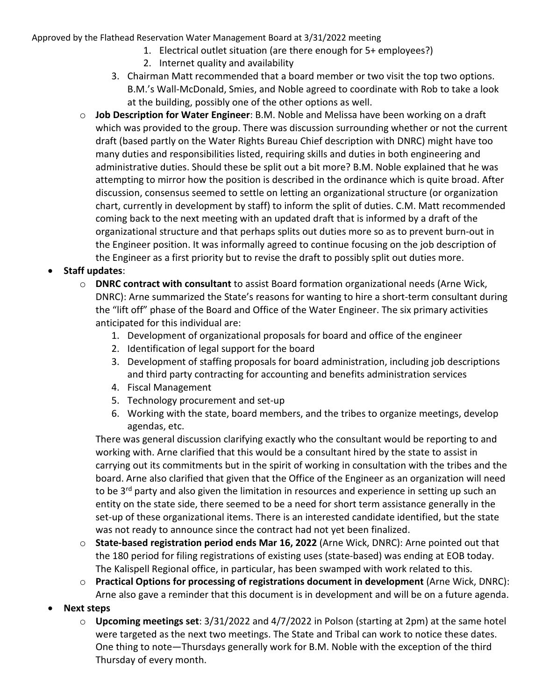Approved by the Flathead Reservation Water Management Board at 3/31/2022 meeting

- 1. Electrical outlet situation (are there enough for 5+ employees?)
- 2. Internet quality and availability
- 3. Chairman Matt recommended that a board member or two visit the top two options. B.M.'s Wall-McDonald, Smies, and Noble agreed to coordinate with Rob to take a look at the building, possibly one of the other options as well.
- o **Job Description for Water Engineer**: B.M. Noble and Melissa have been working on a draft which was provided to the group. There was discussion surrounding whether or not the current draft (based partly on the Water Rights Bureau Chief description with DNRC) might have too many duties and responsibilities listed, requiring skills and duties in both engineering and administrative duties. Should these be split out a bit more? B.M. Noble explained that he was attempting to mirror how the position is described in the ordinance which is quite broad. After discussion, consensus seemed to settle on letting an organizational structure (or organization chart, currently in development by staff) to inform the split of duties. C.M. Matt recommended coming back to the next meeting with an updated draft that is informed by a draft of the organizational structure and that perhaps splits out duties more so as to prevent burn-out in the Engineer position. It was informally agreed to continue focusing on the job description of the Engineer as a first priority but to revise the draft to possibly split out duties more.

### • **Staff updates**:

- o **DNRC contract with consultant** to assist Board formation organizational needs (Arne Wick, DNRC): Arne summarized the State's reasons for wanting to hire a short-term consultant during the "lift off" phase of the Board and Office of the Water Engineer. The six primary activities anticipated for this individual are:
	- 1. Development of organizational proposals for board and office of the engineer
	- 2. Identification of legal support for the board
	- 3. Development of staffing proposals for board administration, including job descriptions and third party contracting for accounting and benefits administration services
	- 4. Fiscal Management
	- 5. Technology procurement and set-up
	- 6. Working with the state, board members, and the tribes to organize meetings, develop agendas, etc.

There was general discussion clarifying exactly who the consultant would be reporting to and working with. Arne clarified that this would be a consultant hired by the state to assist in carrying out its commitments but in the spirit of working in consultation with the tribes and the board. Arne also clarified that given that the Office of the Engineer as an organization will need to be 3<sup>rd</sup> party and also given the limitation in resources and experience in setting up such an entity on the state side, there seemed to be a need for short term assistance generally in the set-up of these organizational items. There is an interested candidate identified, but the state was not ready to announce since the contract had not yet been finalized.

- o **State-based registration period ends Mar 16, 2022** (Arne Wick, DNRC): Arne pointed out that the 180 period for filing registrations of existing uses (state-based) was ending at EOB today. The Kalispell Regional office, in particular, has been swamped with work related to this.
- o **Practical Options for processing of registrations document in development** (Arne Wick, DNRC): Arne also gave a reminder that this document is in development and will be on a future agenda.
- **Next steps**
	- o **Upcoming meetings set**: 3/31/2022 and 4/7/2022 in Polson (starting at 2pm) at the same hotel were targeted as the next two meetings. The State and Tribal can work to notice these dates. One thing to note—Thursdays generally work for B.M. Noble with the exception of the third Thursday of every month.